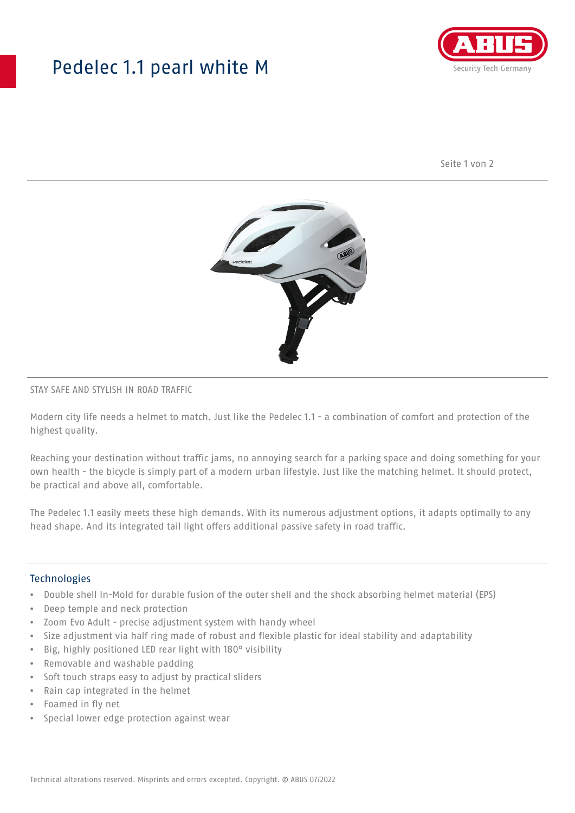## Pedelec 1.1 pearl white M



Seite 1 von 2



### STAY SAFE AND STYLISH IN ROAD TRAFFIC

Modern city life needs a helmet to match. Just like the Pedelec 1.1 - a combination of comfort and protection of the highest quality.

Reaching your destination without traffic jams, no annoying search for a parking space and doing something for your own health - the bicycle is simply part of a modern urban lifestyle. Just like the matching helmet. It should protect, be practical and above all, comfortable.

The Pedelec 1.1 easily meets these high demands. With its numerous adjustment options, it adapts optimally to any head shape. And its integrated tail light offers additional passive safety in road traffic.

### **Technologies**

- Double shell In-Mold for durable fusion of the outer shell and the shock absorbing helmet material (EPS)
- Deep temple and neck protection
- Zoom Evo Adult precise adjustment system with handy wheel
- Size adjustment via half ring made of robust and flexible plastic for ideal stability and adaptability
- Big, highly positioned LED rear light with 180° visibility
- Removable and washable padding
- Soft touch straps easy to adjust by practical sliders
- Rain cap integrated in the helmet
- Foamed in fly net
- Special lower edge protection against wear